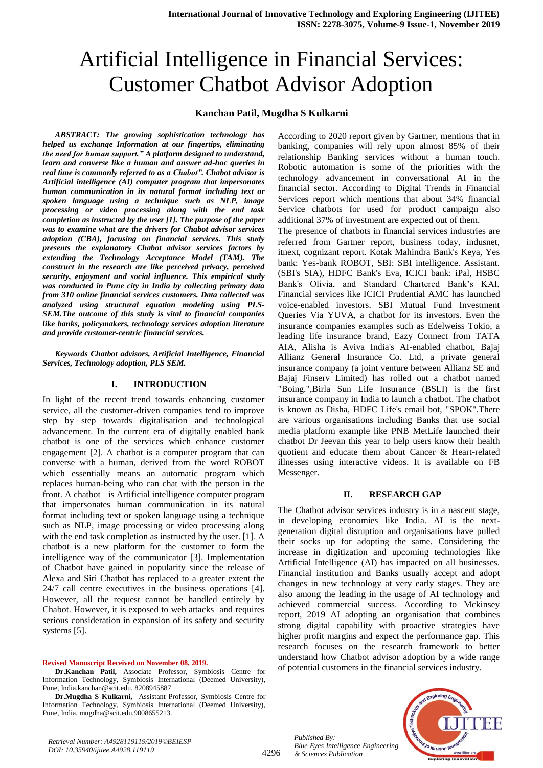# Artificial Intelligence in Financial Services: Customer Chatbot Advisor Adoption

### **Kanchan Patil, Mugdha S Kulkarni**

*ABSTRACT: The growing sophistication technology has helped us exchange Information at our fingertips, eliminating the need for human support." A platform designed to understand, learn and converse like a human and answer ad-hoc queries in real time is commonly referred to as a Chabot". Chabot advisor is Artificial intelligence (AI) computer program that impersonates human communication in its natural format including text or spoken language using a technique such as NLP, image processing or video processing along with the end task completion as instructed by the user [1]. The purpose of the paper was to examine what are the drivers for Chabot advisor services adoption (CBA), focusing on financial services. This study presents the explanatory Chabot advisor services factors by extending the Technology Acceptance Model (TAM). The construct in the research are like perceived privacy, perceived security, enjoyment and social influence. This empirical study was conducted in Pune city in India by collecting primary data from 310 online financial services customers. Data collected was analyzed using structural equation modeling using PLS-SEM.The outcome of this study is vital to financial companies like banks, policymakers, technology services adoption literature and provide customer-centric financial services.*

*Keywords Chatbot advisors, Artificial Intelligence, Financial Services, Technology adoption, PLS SEM.*

#### **I. INTRODUCTION**

In light of the recent trend towards enhancing customer service, all the customer-driven companies tend to improve step by step towards digitalisation and technological advancement. In the current era of digitally enabled bank chatbot is one of the services which enhance customer engagement [2]. A chatbot is a computer program that can converse with a human, derived from the word ROBOT which essentially means an automatic program which replaces human-being who can chat with the person in the front. A chatbot is Artificial intelligence computer program that impersonates human communication in its natural format including text or spoken language using a technique such as NLP, image processing or video processing along with the end task completion as instructed by the user. [1]. A chatbot is a new platform for the customer to form the intelligence way of the communicator [3]. Implementation of Chatbot have gained in popularity since the release of Alexa and Siri Chatbot has replaced to a greater extent the 24/7 call centre executives in the business operations [4]. However, all the request cannot be handled entirely by Chabot. However, it is exposed to web attacks and requires serious consideration in expansion of its safety and security systems [5].

#### **Revised Manuscript Received on November 08, 2019.**

**Dr.Mugdha S Kulkarni,** Assistant Professor, Symbiosis Centre for Information Technology, Symbiosis International (Deemed University), Pune, India, mugdha@scit.edu,9008655213.

According to 2020 report given by Gartner, mentions that in banking, companies will rely upon almost 85% of their relationship Banking services without a human touch. Robotic automation is some of the priorities with the technology advancement in conversational AI in the financial sector. According to Digital Trends in Financial Services report which mentions that about 34% financial Service chatbots for used for product campaign also additional 37% of investment are expected out of them.

The presence of chatbots in financial services industries are referred from Gartner report, business today, indusnet, itnext, cognizant report. Kotak Mahindra Bank's Keya, Yes bank: Yes-bank ROBOT, SBI: SBI intelligence. Assistant. (SBI's SIA), HDFC Bank's Eva, ICICI bank: iPal, HSBC Bank's Olivia, and Standard Chartered Bank"s KAI, Financial services like ICICI Prudential AMC has launched voice-enabled investors. SBI Mutual Fund Investment Queries Via YUVA, a chatbot for its investors. Even the insurance companies examples such as Edelweiss Tokio, a leading life insurance brand, Eazy Connect from TATA AIA, Alisha is Aviva India's AI-enabled chatbot, Bajaj Allianz General Insurance Co. Ltd, a private general insurance company (a joint venture between Allianz SE and Bajaj Finserv Limited) has rolled out a chatbot named "Boing.",Birla Sun Life Insurance (BSLI) is the first insurance company in India to launch a chatbot. The chatbot is known as Disha, HDFC Life's email bot, "SPOK".There are various organisations including Banks that use social media platform example like PNB MetLife launched their chatbot Dr Jeevan this year to help users know their health quotient and educate them about Cancer & Heart-related illnesses using interactive videos. It is available on FB Messenger.

#### **II. RESEARCH GAP**

The Chatbot advisor services industry is in a nascent stage, in developing economies like India. AI is the nextgeneration digital disruption and organisations have pulled their socks up for adopting the same. Considering the increase in digitization and upcoming technologies like Artificial Intelligence (AI) has impacted on all businesses. Financial institution and Banks usually accept and adopt changes in new technology at very early stages. They are also among the leading in the usage of AI technology and achieved commercial success. According to Mckinsey report, 2019 AI adopting an organisation that combines strong digital capability with proactive strategies have higher profit margins and expect the performance gap. This research focuses on the research framework to better understand how Chatbot advisor adoption by a wide range of potential customers in the financial services industry.

*Published By: Blue Eyes Intelligence Engineering & Sciences Publication* 



**Dr.Kanchan Patil,** Associate Professor, Symbiosis Centre for Information Technology, Symbiosis International (Deemed University), Pune, India,kanchan@scit.edu, 8208945887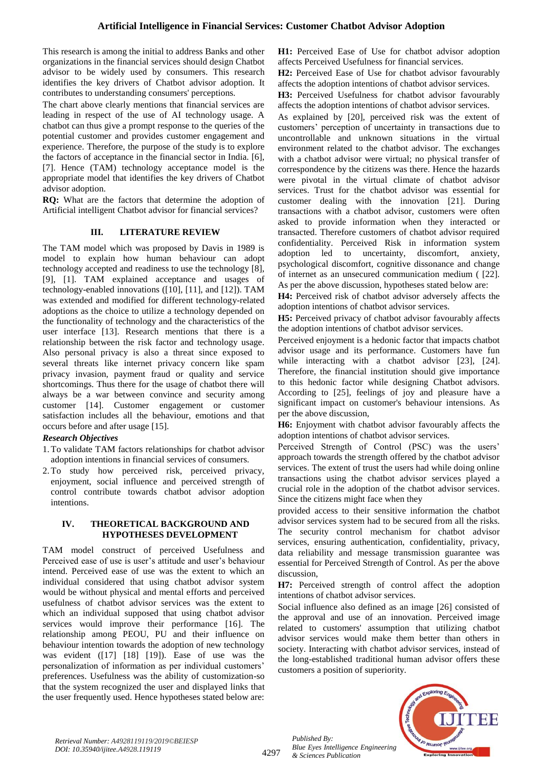This research is among the initial to address Banks and other organizations in the financial services should design Chatbot advisor to be widely used by consumers. This research identifies the key drivers of Chatbot advisor adoption. It contributes to understanding consumers' perceptions.

The chart above clearly mentions that financial services are leading in respect of the use of AI technology usage. A chatbot can thus give a prompt response to the queries of the potential customer and provides customer engagement and experience. Therefore, the purpose of the study is to explore the factors of acceptance in the financial sector in India. [6], [7]. Hence (TAM) technology acceptance model is the appropriate model that identifies the key drivers of Chatbot advisor adoption.

**RQ:** What are the factors that determine the adoption of Artificial intelligent Chatbot advisor for financial services?

#### **III. LITERATURE REVIEW**

The TAM model which was proposed by Davis in 1989 is model to explain how human behaviour can adopt technology accepted and readiness to use the technology [8], [9], [1]. TAM explained acceptance and usages of technology-enabled innovations ([10], [11], and [12]). TAM was extended and modified for different technology-related adoptions as the choice to utilize a technology depended on the functionality of technology and the characteristics of the user interface [13]. Research mentions that there is a relationship between the risk factor and technology usage. Also personal privacy is also a threat since exposed to several threats like internet privacy concern like spam privacy invasion, payment fraud or quality and service shortcomings. Thus there for the usage of chatbot there will always be a war between convince and security among customer [14]. Customer engagement or customer satisfaction includes all the behaviour, emotions and that occurs before and after usage [15].

#### *Research Objectives*

- 1.To validate TAM factors relationships for chatbot advisor adoption intentions in financial services of consumers.
- 2.To study how perceived risk, perceived privacy, enjoyment, social influence and perceived strength of control contribute towards chatbot advisor adoption intentions.

#### **IV. THEORETICAL BACKGROUND AND HYPOTHESES DEVELOPMENT**

TAM model construct of perceived Usefulness and Perceived ease of use is user's attitude and user's behaviour intend. Perceived ease of use was the extent to which an individual considered that using chatbot advisor system would be without physical and mental efforts and perceived usefulness of chatbot advisor services was the extent to which an individual supposed that using chatbot advisor services would improve their performance [16]. The relationship among PEOU, PU and their influence on behaviour intention towards the adoption of new technology was evident ([17] [18] [19]). Ease of use was the personalization of information as per individual customers' preferences. Usefulness was the ability of customization-so that the system recognized the user and displayed links that the user frequently used. Hence hypotheses stated below are: **H1:** Perceived Ease of Use for chatbot advisor adoption affects Perceived Usefulness for financial services.

**H2:** Perceived Ease of Use for chatbot advisor favourably affects the adoption intentions of chatbot advisor services.

**H3:** Perceived Usefulness for chatbot advisor favourably affects the adoption intentions of chatbot advisor services.

As explained by [20], perceived risk was the extent of customers" perception of uncertainty in transactions due to uncontrollable and unknown situations in the virtual environment related to the chatbot advisor. The exchanges with a chatbot advisor were virtual; no physical transfer of correspondence by the citizens was there. Hence the hazards were pivotal in the virtual climate of chatbot advisor services. Trust for the chatbot advisor was essential for customer dealing with the innovation [21]. During transactions with a chatbot advisor, customers were often asked to provide information when they interacted or transacted. Therefore customers of chatbot advisor required confidentiality. Perceived Risk in information system adoption led to uncertainty, discomfort, anxiety, psychological discomfort, cognitive dissonance and change of internet as an unsecured communication medium ( [22]. As per the above discussion, hypotheses stated below are:

**H4:** Perceived risk of chatbot advisor adversely affects the adoption intentions of chatbot advisor services.

**H5:** Perceived privacy of chatbot advisor favourably affects the adoption intentions of chatbot advisor services.

Perceived enjoyment is a hedonic factor that impacts chatbot advisor usage and its performance. Customers have fun while interacting with a chatbot advisor [23], [24]. Therefore, the financial institution should give importance to this hedonic factor while designing Chatbot advisors. According to [25], feelings of joy and pleasure have a significant impact on customer's behaviour intensions. As per the above discussion,

**H6:** Enjoyment with chatbot advisor favourably affects the adoption intentions of chatbot advisor services.

Perceived Strength of Control (PSC) was the users' approach towards the strength offered by the chatbot advisor services. The extent of trust the users had while doing online transactions using the chatbot advisor services played a crucial role in the adoption of the chatbot advisor services. Since the citizens might face when they

provided access to their sensitive information the chatbot advisor services system had to be secured from all the risks. The security control mechanism for chatbot advisor services, ensuring authentication, confidentiality, privacy, data reliability and message transmission guarantee was essential for Perceived Strength of Control. As per the above discussion,

**H7:** Perceived strength of control affect the adoption intentions of chatbot advisor services.

Social influence also defined as an image [26] consisted of the approval and use of an innovation. Perceived image related to customers' assumption that utilizing chatbot advisor services would make them better than others in society. Interacting with chatbot advisor services, instead of the long-established traditional human advisor offers these customers a position of superiority.



*Published By:*

*& Sciences Publication*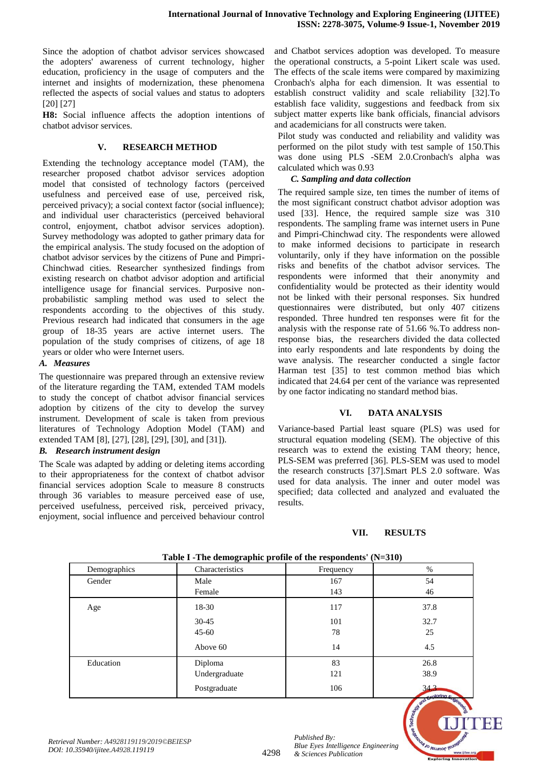Since the adoption of chatbot advisor services showcased the adopters' awareness of current technology, higher education, proficiency in the usage of computers and the internet and insights of modernization, these phenomena reflected the aspects of social values and status to adopters [20] [27]

**H8:** Social influence affects the adoption intentions of chatbot advisor services.

## **V. RESEARCH METHOD**

Extending the technology acceptance model (TAM), the researcher proposed chatbot advisor services adoption model that consisted of technology factors (perceived usefulness and perceived ease of use, perceived risk, perceived privacy); a social context factor (social influence); and individual user characteristics (perceived behavioral control, enjoyment, chatbot advisor services adoption). Survey methodology was adopted to gather primary data for the empirical analysis. The study focused on the adoption of chatbot advisor services by the citizens of Pune and Pimpri-Chinchwad cities. Researcher synthesized findings from existing research on chatbot advisor adoption and artificial intelligence usage for financial services. Purposive nonprobabilistic sampling method was used to select the respondents according to the objectives of this study. Previous research had indicated that consumers in the age group of 18-35 years are active internet users. The population of the study comprises of citizens, of age 18 years or older who were Internet users.

## *A. Measures*

The questionnaire was prepared through an extensive review of the literature regarding the TAM, extended TAM models to study the concept of chatbot advisor financial services adoption by citizens of the city to develop the survey instrument. Development of scale is taken from previous literatures of Technology Adoption Model (TAM) and extended TAM [8], [27], [28], [29], [30], and [31]).

## *B. Research instrument design*

The Scale was adapted by adding or deleting items according to their appropriateness for the context of chatbot advisor financial services adoption Scale to measure 8 constructs through 36 variables to measure perceived ease of use, perceived usefulness, perceived risk, perceived privacy, enjoyment, social influence and perceived behaviour control

and Chatbot services adoption was developed. To measure the operational constructs, a 5-point Likert scale was used. The effects of the scale items were compared by maximizing Cronbach's alpha for each dimension. It was essential to establish construct validity and scale reliability [32].To establish face validity, suggestions and feedback from six subject matter experts like bank officials, financial advisors and academicians for all constructs were taken.

Pilot study was conducted and reliability and validity was performed on the pilot study with test sample of 150.This was done using PLS -SEM 2.0.Cronbach's alpha was calculated which was 0.93

## *C. Sampling and data collection*

The required sample size, ten times the number of items of the most significant construct chatbot advisor adoption was used [33]. Hence, the required sample size was 310 respondents. The sampling frame was internet users in Pune and Pimpri-Chinchwad city. The respondents were allowed to make informed decisions to participate in research voluntarily, only if they have information on the possible risks and benefits of the chatbot advisor services. The respondents were informed that their anonymity and confidentiality would be protected as their identity would not be linked with their personal responses. Six hundred questionnaires were distributed, but only 407 citizens responded. Three hundred ten responses were fit for the analysis with the response rate of 51.66 %.To address nonresponse bias, the researchers divided the data collected into early respondents and late respondents by doing the wave analysis. The researcher conducted a single factor Harman test [35] to test common method bias which indicated that 24.64 per cent of the variance was represented by one factor indicating no standard method bias.

## **VI. DATA ANALYSIS**

Variance-based Partial least square (PLS) was used for structural equation modeling (SEM). The objective of this research was to extend the existing TAM theory; hence, PLS-SEM was preferred [36]. PLS-SEM was used to model the research constructs [37].Smart PLS 2.0 software. Was used for data analysis. The inner and outer model was specified; data collected and analyzed and evaluated the results.

## **VII. RESULTS**

| rable r - rue demographic prome or the respondents (19–310) |                 |           |                                                                             |  |  |  |  |
|-------------------------------------------------------------|-----------------|-----------|-----------------------------------------------------------------------------|--|--|--|--|
| Demographics                                                | Characteristics | Frequency | $\%$                                                                        |  |  |  |  |
| Gender                                                      | Male            | 167       | 54                                                                          |  |  |  |  |
|                                                             | Female          | 143       | 46                                                                          |  |  |  |  |
| Age                                                         | 18-30           | 117       | 37.8                                                                        |  |  |  |  |
|                                                             | $30 - 45$       | 101       | 32.7                                                                        |  |  |  |  |
|                                                             | $45 - 60$       | 78        | 25                                                                          |  |  |  |  |
|                                                             | Above 60        | 14        | 4.5                                                                         |  |  |  |  |
| Education                                                   | Diploma         | 83        | 26.8                                                                        |  |  |  |  |
|                                                             | Undergraduate   | 121       | 38.9                                                                        |  |  |  |  |
|                                                             | Postgraduate    | 106       | 343<br>$\sim$ nloring $\approx$<br>$\mathcal{L}_{\mathcal{O}}$<br>$\lambda$ |  |  |  |  |

4298

**Table I -The demographic profile of the respondents' (N=310)**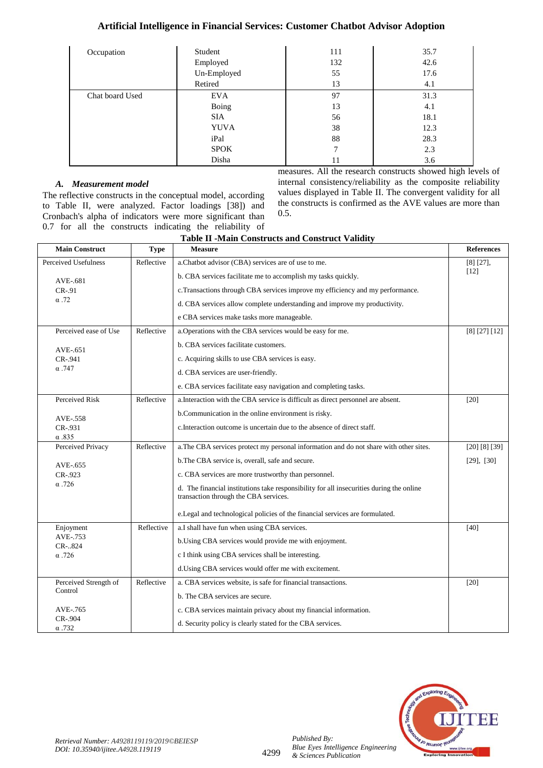# **Artificial Intelligence in Financial Services: Customer Chatbot Advisor Adoption**

| Occupation      | Student     | 111 | 35.7 |
|-----------------|-------------|-----|------|
|                 | Employed    | 132 | 42.6 |
|                 | Un-Employed | 55  | 17.6 |
|                 | Retired     | 13  | 4.1  |
| Chat board Used | <b>EVA</b>  | 97  | 31.3 |
|                 | Boing       | 13  | 4.1  |
|                 | <b>SIA</b>  | 56  | 18.1 |
|                 | <b>YUVA</b> | 38  | 12.3 |
|                 | iPal        | 88  | 28.3 |
|                 | <b>SPOK</b> | 7   | 2.3  |
|                 | Disha       | 11  | 3.6  |

## *A. Measurement model*

The reflective constructs in the conceptual model, according to Table II, were analyzed. Factor loadings [38]) and Cronbach's alpha of indicators were more significant than 0.7 for all the constructs indicating the reliability of  $\Gamma$ -Main Constructs measures. All the research constructs showed high levels of internal consistency/reliability as the composite reliability values displayed in Table II. The convergent validity for all the constructs is confirmed as the AVE values are more than 0.5.

| <b>Table II -Main Constructs and Construct Validity</b> |             |                                                                                                                                   |                   |  |  |
|---------------------------------------------------------|-------------|-----------------------------------------------------------------------------------------------------------------------------------|-------------------|--|--|
| <b>Main Construct</b>                                   | <b>Type</b> | <b>Measure</b>                                                                                                                    | <b>References</b> |  |  |
| Perceived Usefulness<br>Reflective                      |             | a.Chatbot advisor (CBA) services are of use to me.                                                                                | $[8] [27]$ ,      |  |  |
| AVE-.681                                                |             | b. CBA services facilitate me to accomplish my tasks quickly.                                                                     | [12]              |  |  |
| $CR-.91$                                                |             | c. Transactions through CBA services improve my efficiency and my performance.                                                    |                   |  |  |
| $\alpha$ .72                                            |             | d. CBA services allow complete understanding and improve my productivity.                                                         |                   |  |  |
|                                                         |             | e CBA services make tasks more manageable.                                                                                        |                   |  |  |
| Perceived ease of Use                                   | Reflective  | a. Operations with the CBA services would be easy for me.                                                                         | [8] [27] [12]     |  |  |
| AVE-.651                                                |             | b. CBA services facilitate customers.                                                                                             |                   |  |  |
| CR-.941                                                 |             | c. Acquiring skills to use CBA services is easy.                                                                                  |                   |  |  |
| $\alpha$ . 747                                          |             | d. CBA services are user-friendly.                                                                                                |                   |  |  |
|                                                         |             | e. CBA services facilitate easy navigation and completing tasks.                                                                  |                   |  |  |
| Perceived Risk                                          | Reflective  | a. Interaction with the CBA service is difficult as direct personnel are absent.                                                  | [20]              |  |  |
| AVE-.558                                                |             | b. Communication in the online environment is risky.                                                                              |                   |  |  |
| CR-.931                                                 |             | c. Interaction outcome is uncertain due to the absence of direct staff.                                                           |                   |  |  |
| $\alpha$ .835                                           |             |                                                                                                                                   |                   |  |  |
| Perceived Privacy                                       | Reflective  | a. The CBA services protect my personal information and do not share with other sites.                                            | [20] [8] [39]     |  |  |
| AVE-.655                                                |             | b.The CBA service is, overall, safe and secure.                                                                                   | $[29]$ , $[30]$   |  |  |
| CR-.923                                                 |             | c. CBA services are more trustworthy than personnel.                                                                              |                   |  |  |
| $\alpha$ .726                                           |             | d. The financial institutions take responsibility for all insecurities during the online<br>transaction through the CBA services. |                   |  |  |
|                                                         |             | e. Legal and technological policies of the financial services are formulated.                                                     |                   |  |  |
| Enjoyment                                               | Reflective  | a.I shall have fun when using CBA services.                                                                                       | [40]              |  |  |
| AVE-.753<br>CR-824                                      |             | b. Using CBA services would provide me with enjoyment.                                                                            |                   |  |  |
| $\alpha$ .726                                           |             | c I think using CBA services shall be interesting.                                                                                |                   |  |  |
|                                                         |             | d. Using CBA services would offer me with excitement.                                                                             |                   |  |  |
| Perceived Strength of                                   | Reflective  | a. CBA services website, is safe for financial transactions.                                                                      | [20]              |  |  |
| Control                                                 |             | b. The CBA services are secure.                                                                                                   |                   |  |  |
| AVE-.765                                                |             | c. CBA services maintain privacy about my financial information.                                                                  |                   |  |  |
| CR-.904<br>$\alpha$ .732                                |             | d. Security policy is clearly stated for the CBA services.                                                                        |                   |  |  |

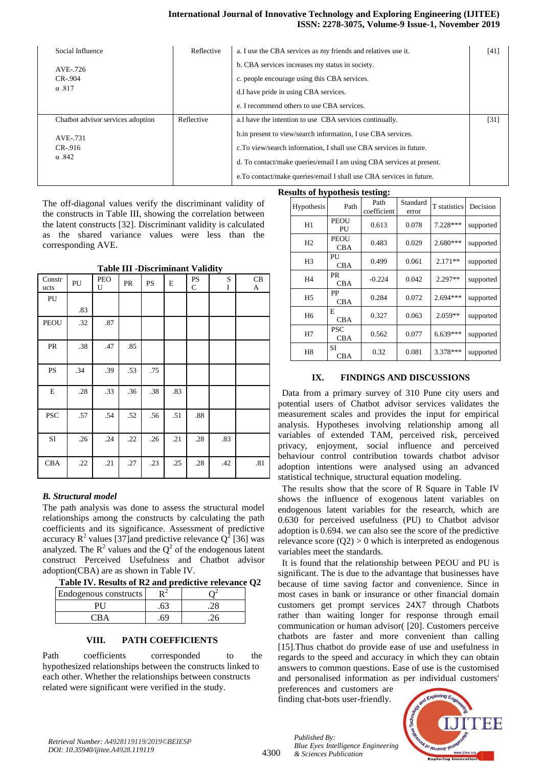#### **International Journal of Innovative Technology and Exploring Engineering (IJITEE) ISSN: 2278-3075, Volume-9 Issue-1, November 2019**

| Social Influence                  | Reflective | a. I use the CBA services as my friends and relatives use it.        | [41] |
|-----------------------------------|------------|----------------------------------------------------------------------|------|
| AVE-.726                          |            | b. CBA services increases my status in society.                      |      |
| $CR-.904$                         |            | c. people encourage using this CBA services.                         |      |
| $\alpha$ .817                     |            | d. I have pride in using CBA services.                               |      |
|                                   |            | e. I recommend others to use CBA services.                           |      |
| Chatbot advisor services adoption | Reflective | a. I have the intention to use CBA services continually.             | [31] |
| AVE-.731                          |            | b.in present to view/search information, I use CBA services.         |      |
| $CR-916$                          |            | c. To view/search information, I shall use CBA services in future.   |      |
| $\alpha$ .842                     |            | d. To contact/make queries/email I am using CBA services at present. |      |
|                                   |            | e. To contact/make queries/email I shall use CBA services in future. |      |

The off-diagonal values verify the discriminant validity of the constructs in Table III, showing the correlation between the latent constructs [32]. Discriminant validity is calculated as the shared variance values were less than the corresponding AVE.

**Table III -Discriminant Validity**

| Constr<br>ucts | PU  | PEO<br>U | PR  | <b>PS</b> | E   | <b>PS</b><br>$\mathbf C$ | S<br>I | CB<br>A |
|----------------|-----|----------|-----|-----------|-----|--------------------------|--------|---------|
| PU             |     |          |     |           |     |                          |        |         |
|                | .83 |          |     |           |     |                          |        |         |
| <b>PEOU</b>    | .32 | .87      |     |           |     |                          |        |         |
| PR             | .38 | .47      | .85 |           |     |                          |        |         |
| PS             | .34 | .39      | .53 | .75       |     |                          |        |         |
| E              | .28 | .33      | .36 | .38       | .83 |                          |        |         |
| <b>PSC</b>     | .57 | .54      | .52 | .56       | .51 | $.88\,$                  |        |         |
| SI             | .26 | .24      | .22 | .26       | .21 | .28                      | .83    |         |
| <b>CBA</b>     | .22 | .21      | .27 | .23       | .25 | .28                      | .42    | .81     |

## *B. Structural model*

The path analysis was done to assess the structural model relationships among the constructs by calculating the path coefficients and its significance. Assessment of predictive accuracy  $R^2$  values [37] and predictive relevance  $Q^2$  [36] was analyzed. The  $\mathbb{R}^2$  values and the  $\mathbb{Q}^2$  of the endogenous latent construct Perceived Usefulness and Chatbot advisor adoption(CBA) are as shown in Table IV.

|  |  |  | Table IV. Results of R2 and predictive relevance Q2 |  |  |
|--|--|--|-----------------------------------------------------|--|--|
|--|--|--|-----------------------------------------------------|--|--|

| Endogenous constructs |    |  |
|-----------------------|----|--|
|                       |    |  |
| ' `R Δ                | ٢q |  |

#### **VIII. PATH COEFFICIENTS**

Path coefficients corresponded to the hypothesized relationships between the constructs linked to each other. Whether the relationships between constructs related were significant were verified in the study.

|                | <b>Results of hypothesis testing:</b> |                     |                   |              |           |  |  |  |  |
|----------------|---------------------------------------|---------------------|-------------------|--------------|-----------|--|--|--|--|
| Hypothesis     | Path                                  | Path<br>coefficient | Standard<br>error | T statistics | Decision  |  |  |  |  |
| H1             | <b>PEOU</b><br>PU                     | 0.613               | 0.078             | 7.228***     | supported |  |  |  |  |
| H2             | <b>PEOU</b><br><b>CBA</b>             | 0.483               | 0.029             | $2.680***$   | supported |  |  |  |  |
| H <sub>3</sub> | PU<br>CBA                             | 0.499               | 0.061             | $2.171**$    | supported |  |  |  |  |
| H4             | <b>PR</b><br>CBA                      | $-0.224$            | 0.042             | $2.297**$    | supported |  |  |  |  |
| H <sub>5</sub> | PP<br>CBA                             | 0.284               | 0.072             | $2.694***$   | supported |  |  |  |  |
| H <sub>6</sub> | E<br><b>CBA</b>                       | 0.327               | 0.063             | $2.059**$    | supported |  |  |  |  |
| H7             | <b>PSC</b><br>CBA                     | 0.562               | 0.077             | $6.639***$   | supported |  |  |  |  |
| H <sub>8</sub> | <b>SI</b><br>CBA                      | 0.32                | 0.081             | 3.378***     | supported |  |  |  |  |

#### **IX. FINDINGS AND DISCUSSIONS**

Data from a primary survey of 310 Pune city users and potential users of Chatbot advisor services validates the measurement scales and provides the input for empirical analysis. Hypotheses involving relationship among all variables of extended TAM, perceived risk, perceived privacy, enjoyment, social influence and perceived behaviour control contribution towards chatbot advisor adoption intentions were analysed using an advanced statistical technique, structural equation modeling.

The results show that the score of R Square in Table IV shows the influence of exogenous latent variables on endogenous latent variables for the research, which are 0.630 for perceived usefulness (PU) to Chatbot advisor adoption is 0.694. we can also see the score of the predictive relevance score  $(Q2) > 0$  which is interpreted as endogenous variables meet the standards.

It is found that the relationship between PEOU and PU is significant. The is due to the advantage that businesses have because of time saving factor and convenience. Since in most cases in bank or insurance or other financial domain customers get prompt services 24X7 through Chatbots rather than waiting longer for response through email communication or human advisor( [20]. Customers perceive chatbots are faster and more convenient than calling [15].Thus chatbot do provide ease of use and usefulness in regards to the speed and accuracy in which they can obtain answers to common questions. Ease of use is the customised and personalised information as per individual customers'

preferences and customers are finding chat-bots user-friendly.



4300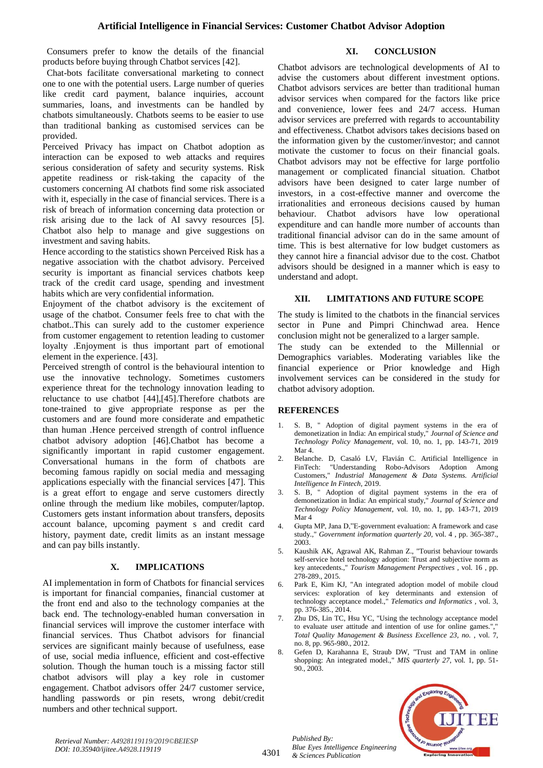Consumers prefer to know the details of the financial products before buying through Chatbot services [42].

## **XI. CONCLUSION**

Chat-bots facilitate conversational marketing to connect one to one with the potential users. Large number of queries like credit card payment, balance inquiries, account summaries, loans, and investments can be handled by chatbots simultaneously. Chatbots seems to be easier to use than traditional banking as customised services can be provided.

Perceived Privacy has impact on Chatbot adoption as interaction can be exposed to web attacks and requires serious consideration of safety and security systems. Risk appetite readiness or risk-taking the capacity of the customers concerning AI chatbots find some risk associated with it, especially in the case of financial services. There is a risk of breach of information concerning data protection or risk arising due to the lack of AI savvy resources [5]. Chatbot also help to manage and give suggestions on investment and saving habits.

Hence according to the statistics shown Perceived Risk has a negative association with the chatbot advisory. Perceived security is important as financial services chatbots keep track of the credit card usage, spending and investment habits which are very confidential information.

Enjoyment of the chatbot advisory is the excitement of usage of the chatbot. Consumer feels free to chat with the chatbot..This can surely add to the customer experience from customer engagement to retention leading to customer loyalty .Enjoyment is thus important part of emotional element in the experience. [43].

Perceived strength of control is the behavioural intention to use the innovative technology. Sometimes customers experience threat for the technology innovation leading to reluctance to use chatbot [44],[45].Therefore chatbots are tone-trained to give appropriate response as per the customers and are found more considerate and empathetic than human .Hence perceived strength of control influence chatbot advisory adoption [46].Chatbot has become a significantly important in rapid customer engagement. Conversational humans in the form of chatbots are becoming famous rapidly on social media and messaging applications especially with the financial services [47]. This is a great effort to engage and serve customers directly online through the medium like mobiles, computer/laptop. Customers gets instant information about transfers, deposits account balance, upcoming payment s and credit card history, payment date, credit limits as an instant message and can pay bills instantly.

## **X. IMPLICATIONS**

AI implementation in form of Chatbots for financial services is important for financial companies, financial customer at the front end and also to the technology companies at the back end. The technology-enabled human conversation in financial services will improve the customer interface with financial services. Thus Chatbot advisors for financial services are significant mainly because of usefulness, ease of use, social media influence, efficient and cost-effective solution. Though the human touch is a missing factor still chatbot advisors will play a key role in customer engagement. Chatbot advisors offer 24/7 customer service, handling passwords or pin resets, wrong debit/credit numbers and other technical support.

Chatbot advisors are technological developments of AI to advise the customers about different investment options. Chatbot advisors services are better than traditional human advisor services when compared for the factors like price and convenience, lower fees and 24/7 access. Human advisor services are preferred with regards to accountability and effectiveness. Chatbot advisors takes decisions based on the information given by the customer/investor; and cannot motivate the customer to focus on their financial goals. Chatbot advisors may not be effective for large portfolio management or complicated financial situation. Chatbot advisors have been designed to cater large number of investors, in a cost-effective manner and overcome the irrationalities and erroneous decisions caused by human behaviour. Chatbot advisors have low operational expenditure and can handle more number of accounts than traditional financial advisor can do in the same amount of time. This is best alternative for low budget customers as they cannot hire a financial advisor due to the cost. Chatbot advisors should be designed in a manner which is easy to understand and adopt.

#### **XII. LIMITATIONS AND FUTURE SCOPE**

The study is limited to the chatbots in the financial services sector in Pune and Pimpri Chinchwad area. Hence conclusion might not be generalized to a larger sample.

The study can be extended to the Millennial or Demographics variables. Moderating variables like the financial experience or Prior knowledge and High involvement services can be considered in the study for chatbot advisory adoption.

#### **REFERENCES**

- 1. S. B, " Adoption of digital payment systems in the era of demonetization in India: An empirical study," *Journal of Science and Technology Policy Management,* vol. 10, no. 1, pp. 143-71, 2019 Mar<sub>4</sub>.
- 2. Belanche. D, Casaló LV, Flavián C. Artificial Intelligence in FinTech: "Understanding Robo-Advisors Adoption Among Customers," *Industrial Management & Data Systems. Artificial Intelligence In Fintech,* 2019.
- 3. S. B, " Adoption of digital payment systems in the era of demonetization in India: An empirical study," *Journal of Science and Technology Policy Management,* vol. 10, no. 1, pp. 143-71, 2019 Mar 4
- 4. Gupta MP, Jana D,"E-government evaluation: A framework and case study.," *Government information quarterly 20,* vol. 4 , pp. 365-387., 2003.
- 5. Kaushik AK, Agrawal AK, Rahman Z., "Tourist behaviour towards self-service hotel technology adoption: Trust and subjective norm as key antecedents.," *Tourism Management Perspectives ,* vol. 16 , pp. 278-289., 2015.
- 6. Park E, Kim KJ, "An integrated adoption model of mobile cloud services: exploration of key determinants and extension of technology acceptance model.," *Telematics and Informatics ,* vol. 3, pp. 376-385., 2014.
- Zhu DS, Lin TC, Hsu YC, "Using the technology acceptance model to evaluate user attitude and intention of use for online games.", *Total Quality Management & Business Excellence 23, no. ,* vol. 7, no. 8, pp. 965-980., 2012.
- 8. Gefen D, Karahanna E, Straub DW, "Trust and TAM in online shopping: An integrated model.," *MIS quarterly 27,* vol. 1, pp. 51- 90., 2003.



*Retrieval Number: A4928119119/2019©BEIESP DOI: 10.35940/ijitee.A4928.119119*

4301

*Published By: Blue Eyes Intelligence Engineering & Sciences Publication*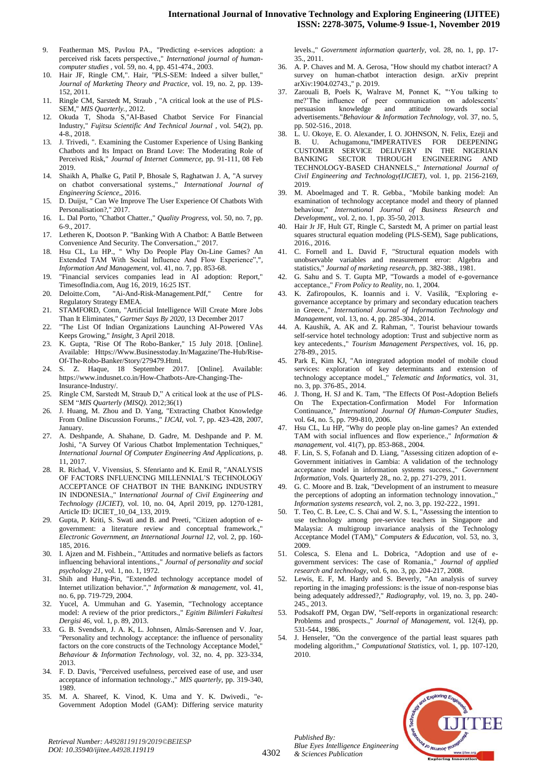- 9. Featherman MS, Pavlou PA., "Predicting e-services adoption: a perceived risk facets perspective.," *International journal of humancomputer studies ,* vol. 59, no. 4, pp. 451-474., 2003.
- 10. Hair JF, Ringle CM,". Hair, "PLS-SEM: Indeed a silver bullet," *Journal of Marketing Theory and Practice,* vol. 19, no. 2, pp. 139- 152, 2011.
- 11. Ringle CM, Sarstedt M, Straub , "A critical look at the use of PLS-SEM," *MIS Quarterly.,* 2012.
- 12. Okuda T, Shoda S,"AI-Based Chatbot Service For Financial Industry," *Fujitsu Scientific And Technical Journal ,* vol. 54(2), pp. 4-8., 2018.
- 13. J. Trivedi, ". Examining the Customer Experience of Using Banking Chatbots and Its Impact on Brand Love: The Moderating Role of Perceived Risk," *Journal of Internet Commerce,* pp. 91-111, 08 Feb 2019.
- 14. Shaikh A, Phalke G, Patil P, Bhosale S, Raghatwan J. A, "A survey on chatbot conversational systems.," *International Journal of Engineering Science,,* 2016.
- 15. D. Duijst, " Can We Improve The User Experience Of Chatbots With Personalisation?," 2017.
- 16. L. Dal Porto, "Chatbot Chatter.," *Quality Progress,* vol. 50, no. 7, pp. 6-9., 2017.
- 17. Letheren K, Dootson P. "Banking With A Chatbot: A Battle Between Convenience And Security. The Conversation.," 2017.
- 18. Hsu CL, Lu HP., " Why Do People Play On-Line Games? An Extended TAM With Social Influence And Flow Experience","*, Information And Management,* vol. 41, no. 7, pp. 853-68.
- 19. "Financial services companies lead in AI adoption: Report," TimesofIndia.com, Aug 16, 2019, 16:25 IST.
- 20. Deloitte.Com, "Ai-And-Risk-Management.Pdf," Centre for Regulatory Strategy EMEA.
- 21. STAMFORD, Conn, "Artificial Intelligence Will Create More Jobs Than It Eliminates," *Gartner Says By 2020,* 13 December 2017
- 22. "The List Of Indian Organizations Launching AI-Powered VAs Keeps Growing," *Insight,* 3 April 2018.
- 23. K. Gupta, "Rise Of The Robo-Banker," 15 July 2018. [Online]. Available: Https://Www.Businesstoday.In/Magazine/The-Hub/Rise-Of-The-Robo-Banker/Story/279479.Html.
- 24. S. Z. Haque, 18 September 2017. [Online]. Available: https://www.indusnet.co.in/How-Chatbots-Are-Changing-The-Insurance-Industry/.
- 25. Ringle CM, Sarstedt M, Straub D," A critical look at the use of PLS-SEM "*MIS Quarterly (MISQ).* 2012;36(1)
- 26. J. Huang, M. Zhou and D. Yang, "Extracting Chatbot Knowledge From Online Discussion Forums.," *IJCAI,* vol. 7, pp. 423-428, 2007, January.
- 27. A. Deshpande, A. Shahane, D. Gadre, M. Deshpande and P. M. Joshi, "A Survey Of Various Chatbot Implementation Techniques," *International Journal Of Computer Engineering And Applications,* p. 11, 2017.
- 28. R. Richad, V. Vivensius, S. Sfenrianto and K. Emil R, "ANALYSIS OF FACTORS INFLUENCING MILLENNIAL"S TECHNOLOGY ACCEPTANCE OF CHATBOT IN THE BANKING INDUSTRY IN INDONESIA.," I*nternational Journal of Civil Engineering and Technology (IJCIET),* vol. 10, no. 04, April 2019, pp. 1270-1281, Article ID: IJCIET\_10\_04\_133, 2019.
- 29. Gupta, P. Kriti, S. Swati and B. and Preeti, "Citizen adoption of egovernment: a literature review and conceptual framework.,' *Electronic Government, an International Journal 12,* vol. 2, pp. 160- 185, 2016.
- 30. I. Ajzen and M. Fishbein., "Attitudes and normative beliefs as factors influencing behavioral intentions.," *Journal of personality and social psychology 21,* vol. 1, no. 1, 1972.
- 31. Shih and Hung-Pin, "Extended technology acceptance model of Internet utilization behavior."," *Information & management,* vol. 41, no. 6, pp. 719-729, 2004.
- 32. Yucel, A. Ummuhan and G. Yasemin, "Technology acceptance model: A review of the prior predictors.," *Egitim Bilimleri Fakultesi Dergisi 46,* vol. 1, p. 89, 2013.
- 33. G. B. Svendsen, J. A. K, L. Johnsen, Almås-Sørensen and V. Joar, "Personality and technology acceptance: the influence of personality factors on the core constructs of the Technology Acceptance Model," *Behaviour & Information Technology,* vol. 32, no. 4, pp. 323-334, 2013.
- 34. F. D. Davis, "Perceived usefulness, perceived ease of use, and user acceptance of information technology.," *MIS quarterly,* pp. 319-340, 1989.
- 35. M. A. Shareef, K. Vinod, K. Uma and Y. K. Dwivedi., "e-Government Adoption Model (GAM): Differing service maturity

levels.," *Government information quarterly,* vol. 28, no. 1, pp. 17- 35., 2011.

- 36. A. P. Chaves and M. A. Gerosa, "How should my chatbot interact? A survey on human-chatbot interaction design. arXiv preprint arXiv:1904.02743.," p. 2019.
- 37. Zarouali B, Poels K, Walrave M, Ponnet K, ""You talking to me?'The influence of peer communication on adolescents' persuasion knowledge and attitude towards social advertisements."*Behaviour & Information Technology,* vol. 37, no. 5, pp. 502-516., 2018.
- 38. L. U. Okoye, E. O. Alexander, I. O. JOHNSON, N. Felix, Ezeji and B. U. Achugamonu,"IMPERATIVES FOR DEEPENING CUSTOMER SERVICE DELIVERY IN THE NIGERIAN BANKING SECTOR THROUGH ENGINEERING AND TECHNOLOGY-BASED CHANNELS.," *International Journal of Civil Engineering and Technology(IJCIET),* vol. 1, pp. 2156-2169, 2019.
- 39. M. Aboelmaged and T. R. Gebba., "Mobile banking model: An examination of technology acceptance model and theory of planned behaviour," *International Journal of Business Research and Development,,* vol. 2, no. 1, pp. 35-50, 2013.
- 40. Hair Jr JF, Hult GT, Ringle C, Sarstedt M, A primer on partial least squares structural equation modeling (PLS-SEM), Sage publications, 2016., 2016.
- 41. C. Fornell and L. David F, "Structural equation models with unobservable variables and measurement error: Algebra and statistics," *Journal of marketing research,* pp. 382-388., 1981.
- 42. G. Sahu and S. T. Gupta MP, "Towards a model of e-governance acceptance.," *From Policy to Reality,* no. 1, 2004.
- 43. K. Zafiropoulos, K. Ioannis and i. V. Vasilik, "Exploring egovernance acceptance by primary and secondary education teachers in Greece.," *International Journal of Information Technology and Management,* vol. 13, no. 4, pp. 285-304., 2014.
- 44. A. Kaushik, A. AK and Z. Rahman, ". Tourist behaviour towards self-service hotel technology adoption: Trust and subjective norm as key antecedents.," *Tourism Management Perspectives,* vol. 16, pp. 278-89., 2015.
- 45. Park E, Kim KJ, "An integrated adoption model of mobile cloud services: exploration of key determinants and extension of technology acceptance model.," *Telematic and Informatics,* vol. 31, no. 3, pp. 376-85., 2014.
- J. Thong, H. SJ and K. Tam, "The Effects Of Post-Adoption Beliefs On The Expectation-Confirmation Model For Information Continuance," *International Journal Of Human-Computer Studies,*  vol. 64, no. 5, pp. 799-810, 2006.
- 47. Hsu CL, Lu HP, "Why do people play on-line games? An extended TAM with social influences and flow experience.," *Information & management,* vol. 41(7), pp. 853-868., 2004.
- 48. F. Lin, S. S, Fofanah and D. Liang, "Assessing citizen adoption of e-Government initiatives in Gambia: A validation of the technology acceptance model in information systems success.," *Government Information,* Vols. Quarterly 28,, no. 2, pp. 271-279, 2011.
- 49. G. C. Moore and B. Izak, "Development of an instrument to measure the perceptions of adopting an information technology innovation., *Information systems research,* vol. 2, no. 3, pp. 192-222., 1991.
- T. Teo, C. B. Lee, C. S. Chai and W. S. L, "Assessing the intention to use technology among pre-service teachers in Singapore and Malaysia: A multigroup invariance analysis of the Technology Acceptance Model (TAM)," *Computers & Education,* vol. 53, no. 3, 2009.
- 51. Colesca, S. Elena and L. Dobrica, "Adoption and use of egovernment services: The case of Romania.," *Journal of applied research and technology,* vol. 6, no. 3, pp. 204-217, 2008.
- 52. Lewis, E. F, M. Hardy and S. Beverly, "An analysis of survey reporting in the imaging professions: is the issue of non-response bias being adequately addressed?," *Radiography,* vol. 19, no. 3, pp. 240- 245., 2013.
- 53. Podsakoff PM, Organ DW, "Self-reports in organizational research: Problems and prospects.," *Journal of Management,* vol. 12(4), pp. 531-544., 1986.
- 54. J. Henseler, "On the convergence of the partial least squares path modeling algorithm.," *Computational Statistics,* vol. 1, pp. 107-120, 2010.



*Retrieval Number: A4928119119/2019©BEIESP DOI: 10.35940/ijitee.A4928.119119*

*Published By:*

*& Sciences Publication*